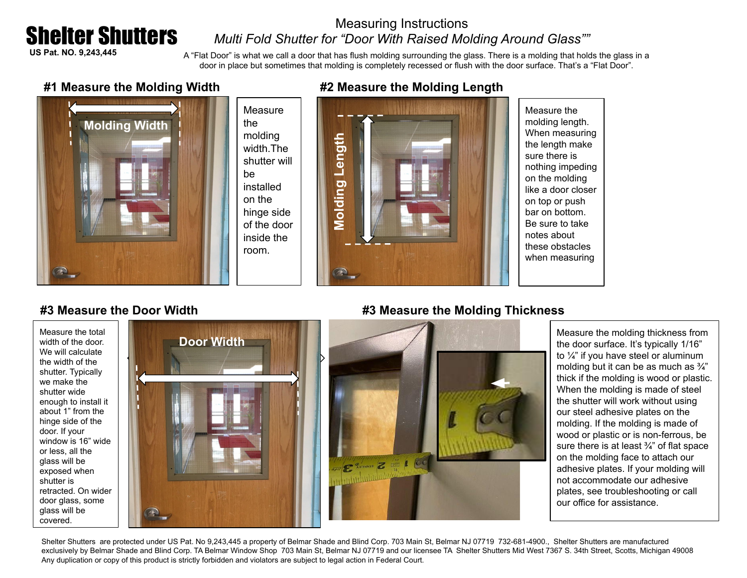## Shelter Shutters

### Measuring Instructions *Multi Fold Shutter for "Door With Raised Molding Around Glass""*

**US Pat. NO. 9,243,445**

A "Flat Door" is what we call a door that has flush molding surrounding the glass. There is a molding that holds the glass in a door in place but sometimes that molding is completely recessed or flush with the door surface. That's a "Flat Door".

#### **#1 Measure the Molding Width**



#### **Measure** the molding width.The shutter will be installed on the hinge side of the door inside the room.



Measure the molding length. When measuring the length make sure there is nothing impeding on the molding like a door closer on top or push bar on bottom. Be sure to take notes about these obstacles when measuring

#### **#3 Measure the Door Width**

Measure the total width of the door. We will calculate the width of the shutter. Typically we make the shutter wide enough to install it about 1" from the hinge side of the door. If your window is 16" wide or less, all the glass will be exposed when shutter is retracted. On wider door glass, some glass will be covered.



# **#3 Measure the Molding Thickness**



Measure the molding thickness from the door surface. It's typically 1/16" to ¼" if you have steel or aluminum molding but it can be as much as ¾" thick if the molding is wood or plastic. When the molding is made of steel the shutter will work without using our steel adhesive plates on the molding. If the molding is made of wood or plastic or is non-ferrous, be sure there is at least  $\frac{3}{4}$ " of flat space on the molding face to attach our adhesive plates. If your molding will not accommodate our adhesive plates, see troubleshooting or call our office for assistance.

Shelter Shutters are protected under US Pat. No 9,243,445 a property of Belmar Shade and Blind Corp. 703 Main St, Belmar NJ 07719 732-681-4900., Shelter Shutters are manufactured exclusively by Belmar Shade and Blind Corp. TA Belmar Window Shop 703 Main St, Belmar NJ 07719 and our licensee TA Shelter Shutters Mid West 7367 S. 34th Street, Scotts, Michigan 49008 Any duplication or copy of this product is strictly forbidden and violators are subject to legal action in Federal Court.

#### **#2 Measure the Molding Length**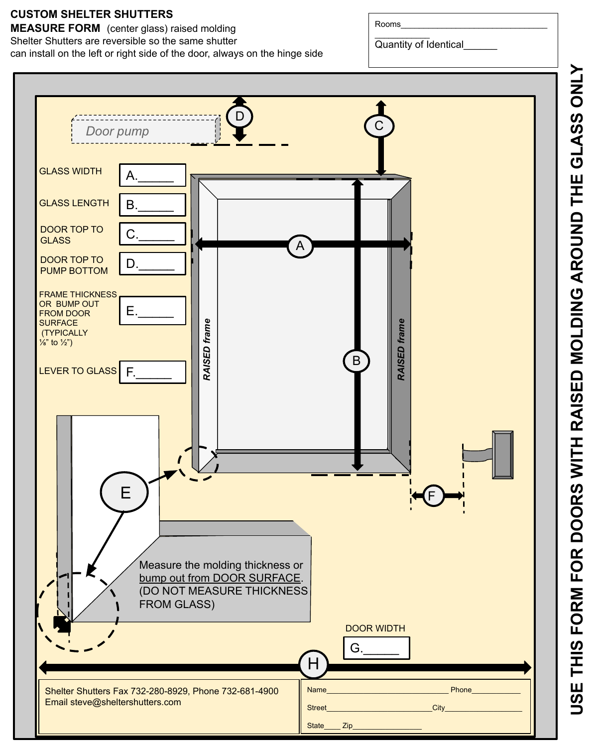#### **CUSTOM SHELTER SHUTTERS**

**MEASURE FORM** (center glass) raised molding Shelter Shutters are reversible so the same shutter can install on the left or right side of the door, always on the hinge side

 $\frac{1}{2}$  ,  $\frac{1}{2}$  ,  $\frac{1}{2}$  ,  $\frac{1}{2}$  ,  $\frac{1}{2}$  ,  $\frac{1}{2}$ Quantity of Identical\_\_\_\_\_\_